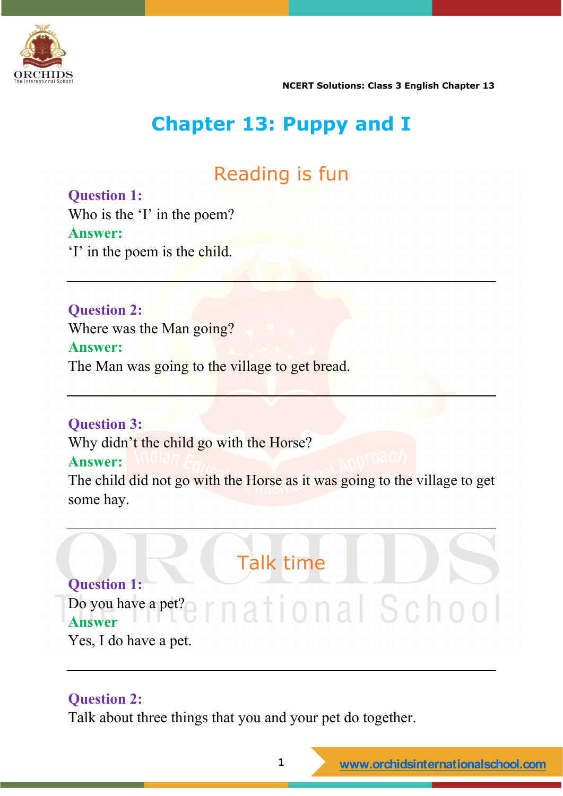

# **Chapter 13: Puppy and I**

# Reading is fun

**Question 1:** Who is the 'I' in the poem? **Answer:** 'I' in the poem is the child.

**Question 2:** Where was the Man going? **Answer:** The Man was going to the village to get bread.

**Question 3:**

Why didn't the child go with the Horse?

#### **Answer:**

The child did not go with the Horse as it was going to the village to get some hay.

Talk time **Question 1:** Do you have a pet?e r n at j o n a S c h o o l **Answer** Yes, I do have a pet.

#### **Question 2:**

Talk about three things that you and your pet do together.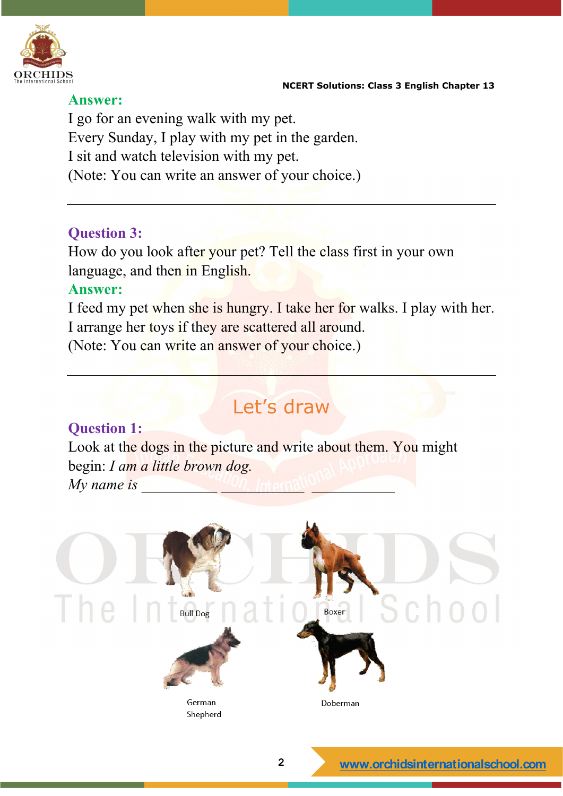

#### **Answer:**

I go for an evening walk with my pet. Every Sunday, I play with my pet in the garden. I sit and watch television with my pet. (Note: You can write an answer of your choice.)

#### **Question 3:**

How do you look after your pet? Tell the class first in your own language, and then in English.

#### **Answer:**

I feed my pet when she is hungry. I take her for walks. I play with her. I arrange her toys if they are scattered all around.

(Note: You can write an answer of your choice.)

# Let's draw

#### **Question 1:**

Look at the dogs in the picture and write about them. You might begin: *I am a little brown dog.*   $My$  name is

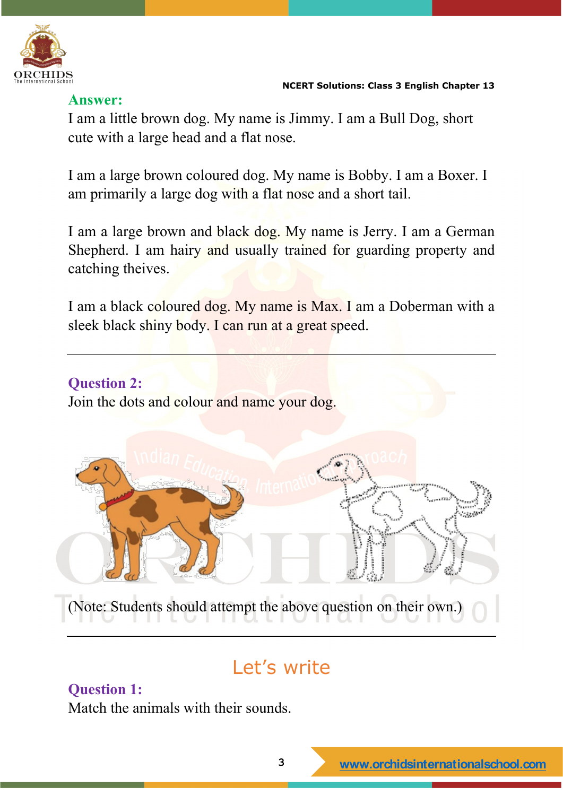

#### **Answer:**

I am a little brown dog. My name is Jimmy. I am a Bull Dog, short cute with a large head and a flat nose.

I am a large brown coloured dog. My name is Bobby. I am a Boxer. I am primarily a large dog with a flat nose and a short tail.

I am a large brown and black dog. My name is Jerry. I am a German Shepherd. I am hairy and usually trained for guarding property and catching theives.

I am a black coloured dog. My name is Max. I am a Doberman with a sleek black shiny body. I can run at a great speed.

# **Question 2:** Join the dots and colour and name your dog. (Note: Students should attempt the above question on their own.)

# Let's write

#### **Question 1:**

Match the animals with their sounds.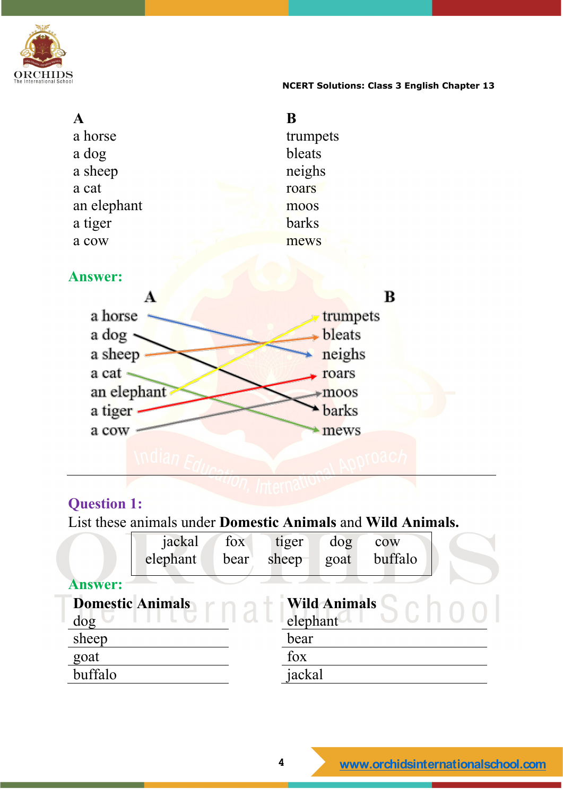

| $\mathbf{A}$   | B             |
|----------------|---------------|
| a horse        | trumpets      |
| a dog          | bleats        |
| a sheep        | neighs        |
| a cat          | roars         |
| an elephant    | moos          |
| a tiger        | <b>barks</b>  |
| a cow          | mews          |
|                |               |
| <b>Answer:</b> |               |
| $\bf A$        | $\, {\bf B}$  |
| a horse        | trumpets      |
| a dog          | <b>bleats</b> |
| a sheep        | neighs        |
| a cat          | roars         |
| an elephant    | moos          |
| a tiger        | barks         |
| a cow          | mews          |
|                |               |

### **Question 1:**

List these animals under **Domestic Animals** and **Wild Animals.**

|                                                | jackal   | fox  | tiger    | $\log$ | cow     |  |
|------------------------------------------------|----------|------|----------|--------|---------|--|
|                                                | elephant | bear | sheep    | goat   | buffalo |  |
| <b>Answer:</b>                                 |          |      |          |        |         |  |
| <b>Domestic Animals</b><br><b>Wild Animals</b> |          |      |          |        |         |  |
| dog                                            |          |      | elephant |        |         |  |
| sheep                                          |          |      | bear     |        |         |  |
| goat                                           |          |      | fox      |        |         |  |
| buffalo                                        |          |      | jackal   |        |         |  |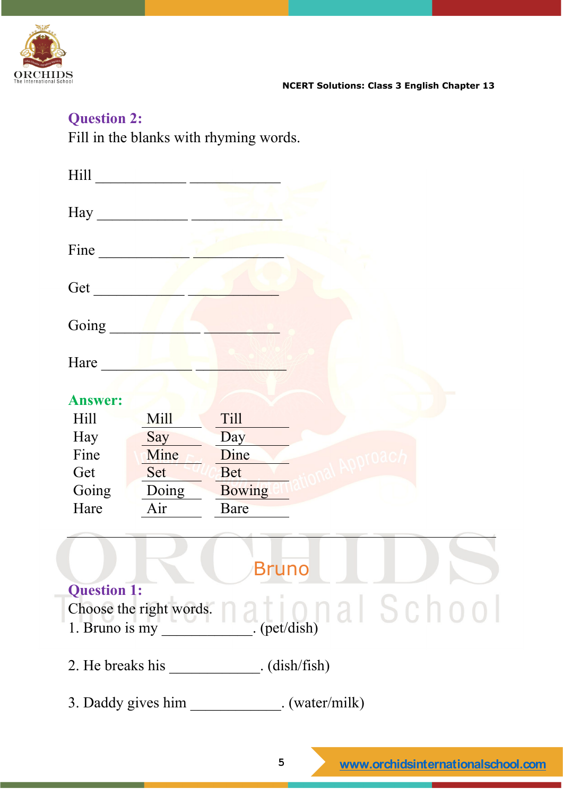

#### **Question 2:**

Fill in the blanks with rhyming words.

| Hill           |                    |                                                                                                                                                                                                                                                                                                                                                                                                                                                                            |
|----------------|--------------------|----------------------------------------------------------------------------------------------------------------------------------------------------------------------------------------------------------------------------------------------------------------------------------------------------------------------------------------------------------------------------------------------------------------------------------------------------------------------------|
| Hay            |                    |                                                                                                                                                                                                                                                                                                                                                                                                                                                                            |
| Fine           |                    |                                                                                                                                                                                                                                                                                                                                                                                                                                                                            |
| Get            |                    |                                                                                                                                                                                                                                                                                                                                                                                                                                                                            |
| Going          |                    |                                                                                                                                                                                                                                                                                                                                                                                                                                                                            |
| Hare           |                    |                                                                                                                                                                                                                                                                                                                                                                                                                                                                            |
| <b>Answer:</b> |                    |                                                                                                                                                                                                                                                                                                                                                                                                                                                                            |
| Hill           | Mill               | <b>Till</b>                                                                                                                                                                                                                                                                                                                                                                                                                                                                |
| Hay            | Say                | Day                                                                                                                                                                                                                                                                                                                                                                                                                                                                        |
| Fine           | Mine               | Dine                                                                                                                                                                                                                                                                                                                                                                                                                                                                       |
| Get            | Set                | <b>Bet</b>                                                                                                                                                                                                                                                                                                                                                                                                                                                                 |
| Going          | Doing              | <b>Bowing</b>                                                                                                                                                                                                                                                                                                                                                                                                                                                              |
| Hare           | Air                | Bare                                                                                                                                                                                                                                                                                                                                                                                                                                                                       |
|                |                    |                                                                                                                                                                                                                                                                                                                                                                                                                                                                            |
|                |                    | Bruno                                                                                                                                                                                                                                                                                                                                                                                                                                                                      |
| Question 1:    |                    |                                                                                                                                                                                                                                                                                                                                                                                                                                                                            |
|                |                    |                                                                                                                                                                                                                                                                                                                                                                                                                                                                            |
|                |                    | Choose the right words. $\bigcap_{\mathcal{A}} \bigcap_{\mathcal{A}} \bigcap_{\mathcal{A}} \bigcap_{\mathcal{A}} \bigcap_{\mathcal{A}} \bigcap_{\mathcal{A}} \bigcap_{\mathcal{A}} \bigcap_{\mathcal{A}} \bigcap_{\mathcal{A}} \bigcap_{\mathcal{A}} \bigcap_{\mathcal{A}} \bigcap_{\mathcal{A}} \bigcap_{\mathcal{A}} \bigcap_{\mathcal{A}} \bigcap_{\mathcal{A}} \bigcap_{\mathcal{A}} \bigcap_{\mathcal{A}} \bigcap_{\mathcal{A}} \bigcap_{\mathcal{A}} \bigcap_{\math$ |
|                |                    | 2. He breaks his _____________. (dish/fish)                                                                                                                                                                                                                                                                                                                                                                                                                                |
|                | 3. Daddy gives him | $.$ (water/milk)                                                                                                                                                                                                                                                                                                                                                                                                                                                           |